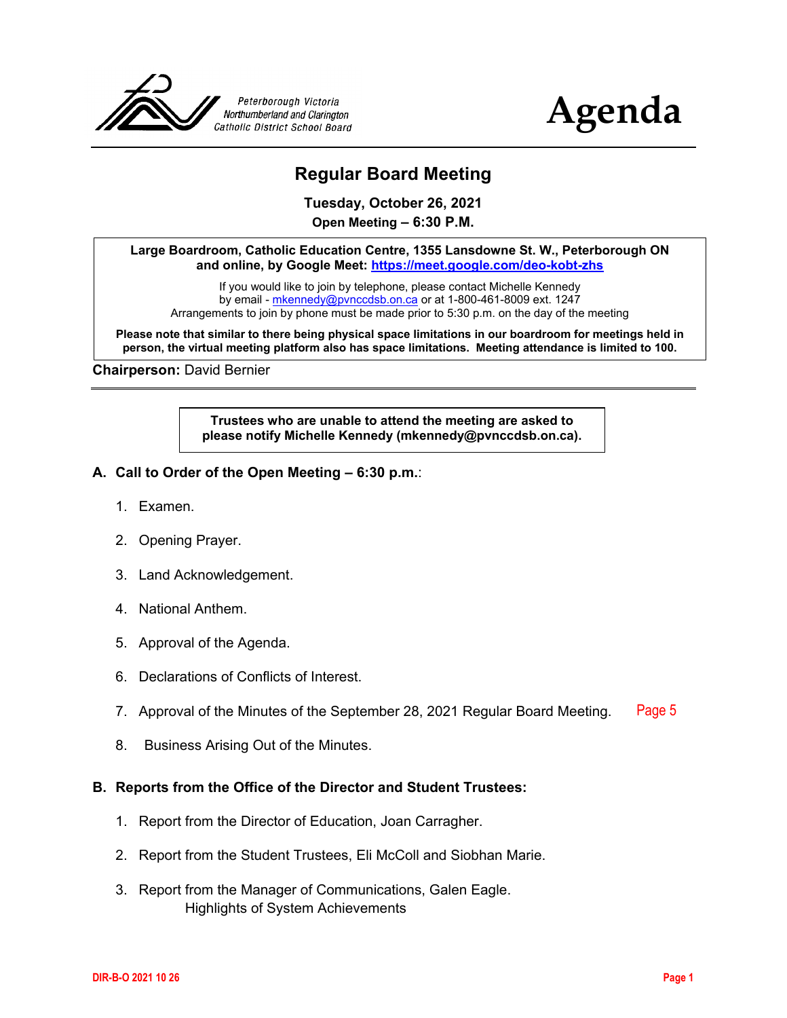



# **Regular Board Meeting**

**Tuesday, October 26, 2021 Open Meeting – 6:30 P.M.**

**Large Boardroom, Catholic Education Centre, 1355 Lansdowne St. W., Peterborough ON and online, by Google Meet: <https://meet.google.com/deo-kobt-zhs>**

If you would like to join by telephone, please contact Michelle Kennedy by email - [mkennedy@pvnccdsb.on.ca](mailto:mkennedy@pvnccdsb.on.ca) or at 1-800-461-8009 ext. 1247 Arrangements to join by phone must be made prior to 5:30 p.m. on the day of the meeting

**Please note that similar to there being physical space limitations in our boardroom for meetings held in person, the virtual meeting platform also has space limitations. Meeting attendance is limited to 100.**

**Chairperson:** David Bernier

**Trustees who are unable to attend the meeting are asked to please notify Michelle Kennedy (mkennedy@pvnccdsb.on.ca).**

- **A. Call to Order of the Open Meeting – 6:30 p.m.**:
	- 1. Examen.
	- 2. Opening Prayer.
	- 3. Land Acknowledgement.
	- 4. National Anthem.
	- 5. Approval of the Agenda.
	- 6. Declarations of Conflicts of Interest.
	- 7. Approval of the Minutes of the September 28, 2021 Regular Board Meeting. [Page 5](#page-4-0)
	- 8. Business Arising Out of the Minutes.

#### **B. Reports from the Office of the Director and Student Trustees:**

- 1. Report from the Director of Education, Joan Carragher.
- 2. Report from the Student Trustees, Eli McColl and Siobhan Marie.
- 3. Report from the Manager of Communications, Galen Eagle. Highlights of System Achievements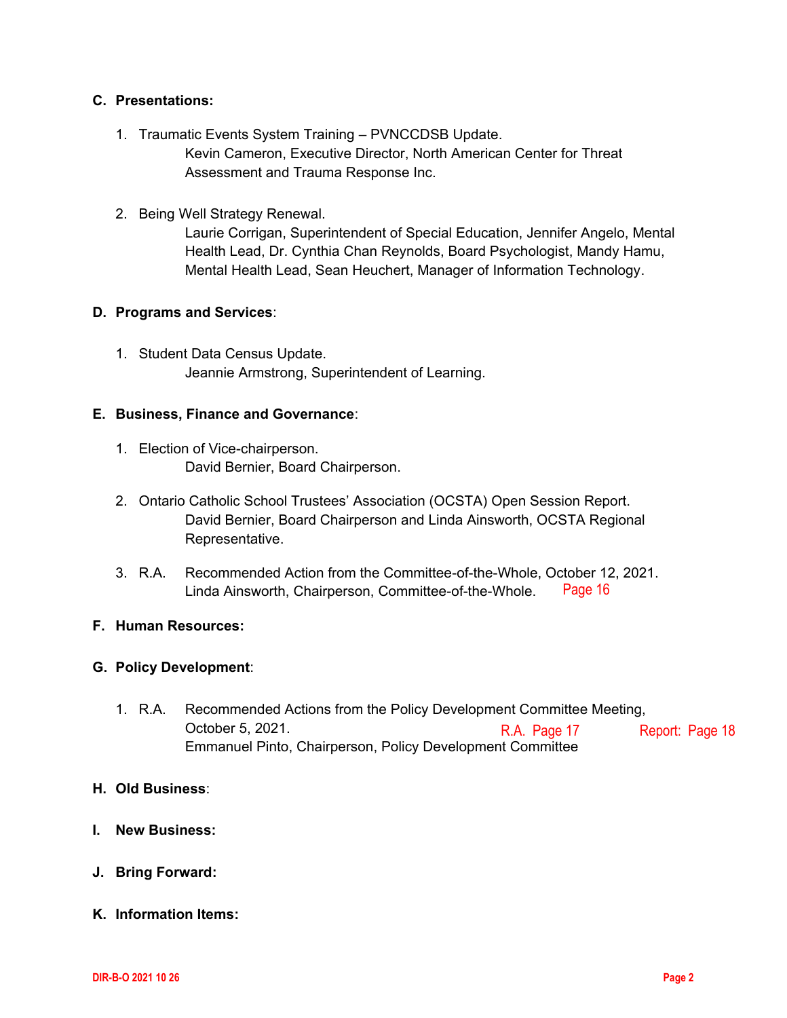## **C. Presentations:**

- 1. Traumatic Events System Training PVNCCDSB Update. Kevin Cameron, Executive Director, North American Center for Threat Assessment and Trauma Response Inc.
- 2. Being Well Strategy Renewal.

Laurie Corrigan, Superintendent of Special Education, Jennifer Angelo, Mental Health Lead, Dr. Cynthia Chan Reynolds, Board Psychologist, Mandy Hamu, Mental Health Lead, Sean Heuchert, Manager of Information Technology.

## **D. Programs and Services**:

1. Student Data Census Update. Jeannie Armstrong, Superintendent of Learning.

## **E. Business, Finance and Governance**:

- 1. Election of Vice-chairperson. David Bernier, Board Chairperson.
- 2. Ontario Catholic School Trustees' Association (OCSTA) Open Session Report. David Bernier, Board Chairperson and Linda Ainsworth, OCSTA Regional Representative.
- 3. R.A. Recommended Action from the Committee-of-the-Whole, October 12, 2021. Linda Ainsworth, Chairperson, Committee-of-the-Whole. [Page 16](#page-15-0)

## **F. Human Resources:**

## **G. Policy Development**:

1. R.A. Recommended Actions from the Policy Development Committee Meeting, October 5, 2021. Emmanuel Pinto, Chairperson, Policy Development Committee R.A. [Page 17](#page-16-0) Report: [Page 18](#page-17-0)

#### **H. Old Business**:

- **I. New Business:**
- **J. Bring Forward:**
- **K. Information Items:**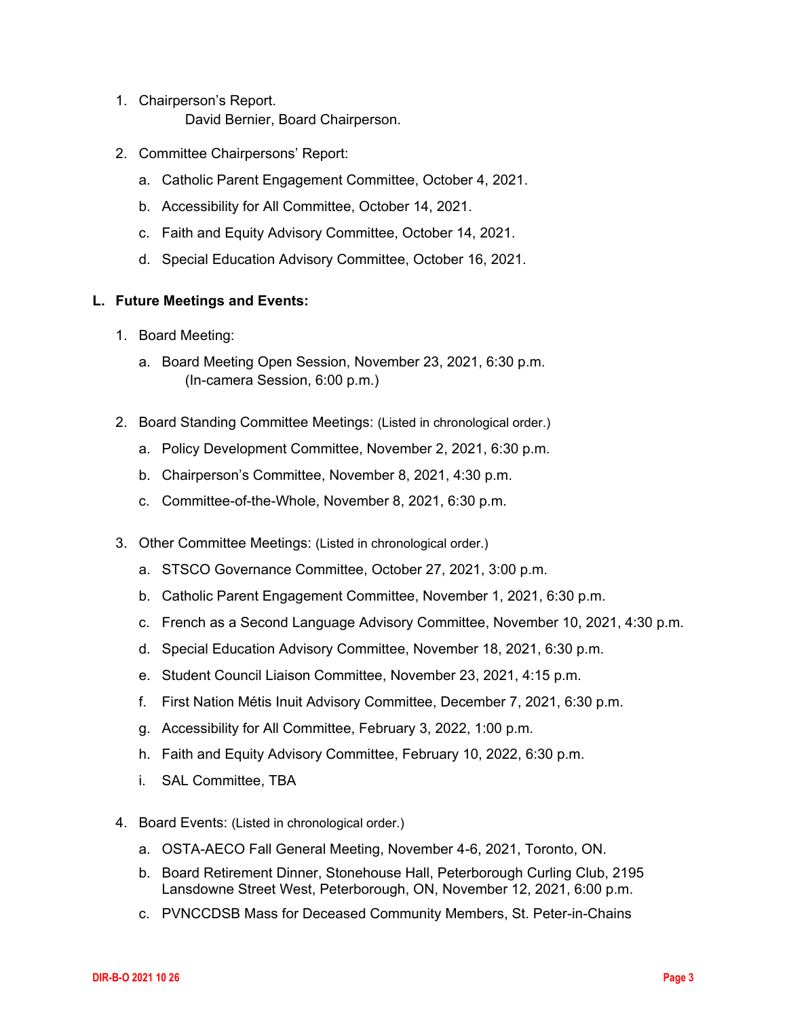- 1. Chairperson's Report. David Bernier, Board Chairperson.
- 2. Committee Chairpersons' Report:
	- a. Catholic Parent Engagement Committee, October 4, 2021.
	- b. Accessibility for All Committee, October 14, 2021.
	- c. Faith and Equity Advisory Committee, October 14, 2021.
	- d. Special Education Advisory Committee, October 16, 2021.

## **L. Future Meetings and Events:**

- 1. Board Meeting:
	- a. Board Meeting Open Session, November 23, 2021, 6:30 p.m. (In-camera Session, 6:00 p.m.)
- 2. Board Standing Committee Meetings: (Listed in chronological order.)
	- a. Policy Development Committee, November 2, 2021, 6:30 p.m.
	- b. Chairperson's Committee, November 8, 2021, 4:30 p.m.
	- c. Committee-of-the-Whole, November 8, 2021, 6:30 p.m.
- 3. Other Committee Meetings: (Listed in chronological order.)
	- a. STSCO Governance Committee, October 27, 2021, 3:00 p.m.
	- b. Catholic Parent Engagement Committee, November 1, 2021, 6:30 p.m.
	- c. French as a Second Language Advisory Committee, November 10, 2021, 4:30 p.m.
	- d. Special Education Advisory Committee, November 18, 2021, 6:30 p.m.
	- e. Student Council Liaison Committee, November 23, 2021, 4:15 p.m.
	- f. First Nation Métis Inuit Advisory Committee, December 7, 2021, 6:30 p.m.
	- g. Accessibility for All Committee, February 3, 2022, 1:00 p.m.
	- h. Faith and Equity Advisory Committee, February 10, 2022, 6:30 p.m.
	- i. SAL Committee, TBA
- 4. Board Events: (Listed in chronological order.)
	- a. OSTA-AECO Fall General Meeting, November 4-6, 2021, Toronto, ON.
	- b. Board Retirement Dinner, Stonehouse Hall, Peterborough Curling Club, 2195 Lansdowne Street West, Peterborough, ON, November 12, 2021, 6:00 p.m.
	- c. PVNCCDSB Mass for Deceased Community Members, St. Peter-in-Chains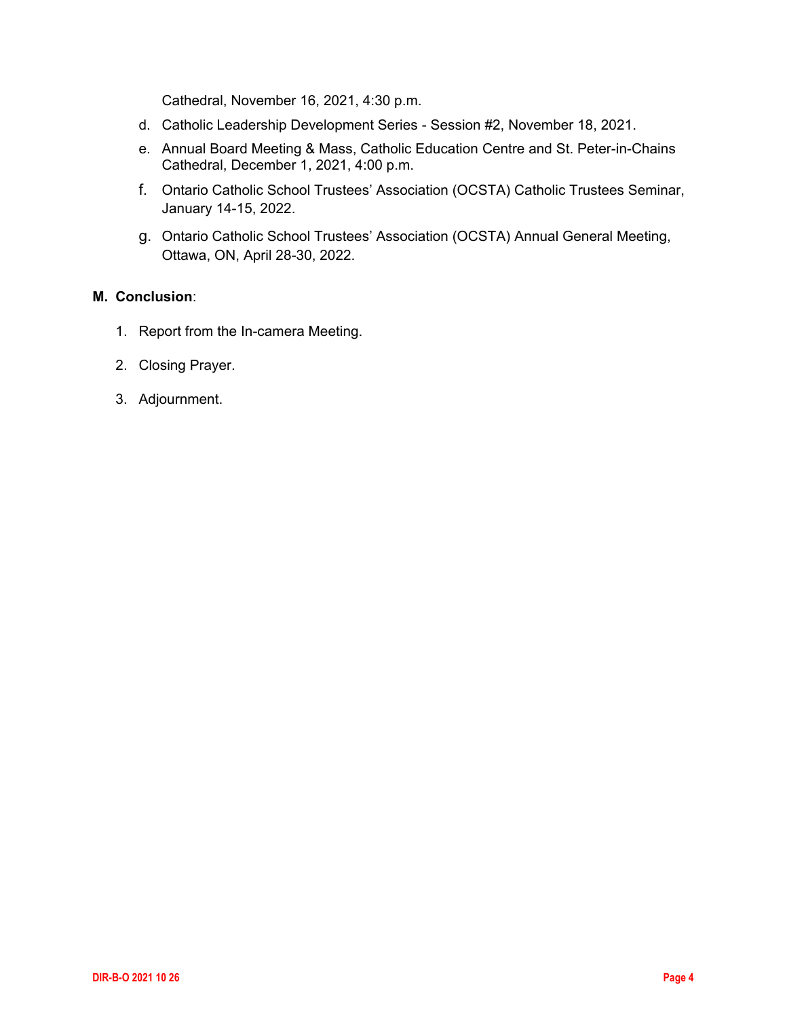Cathedral, November 16, 2021, 4:30 p.m.

- d. Catholic Leadership Development Series Session #2, November 18, 2021.
- e. Annual Board Meeting & Mass, Catholic Education Centre and St. Peter-in-Chains Cathedral, December 1, 2021, 4:00 p.m.
- f. Ontario Catholic School Trustees' Association (OCSTA) Catholic Trustees Seminar, January 14-15, 2022.
- g. Ontario Catholic School Trustees' Association (OCSTA) Annual General Meeting, Ottawa, ON, April 28-30, 2022.

## **M. Conclusion**:

- 1. Report from the In-camera Meeting.
- 2. Closing Prayer.
- 3. Adjournment.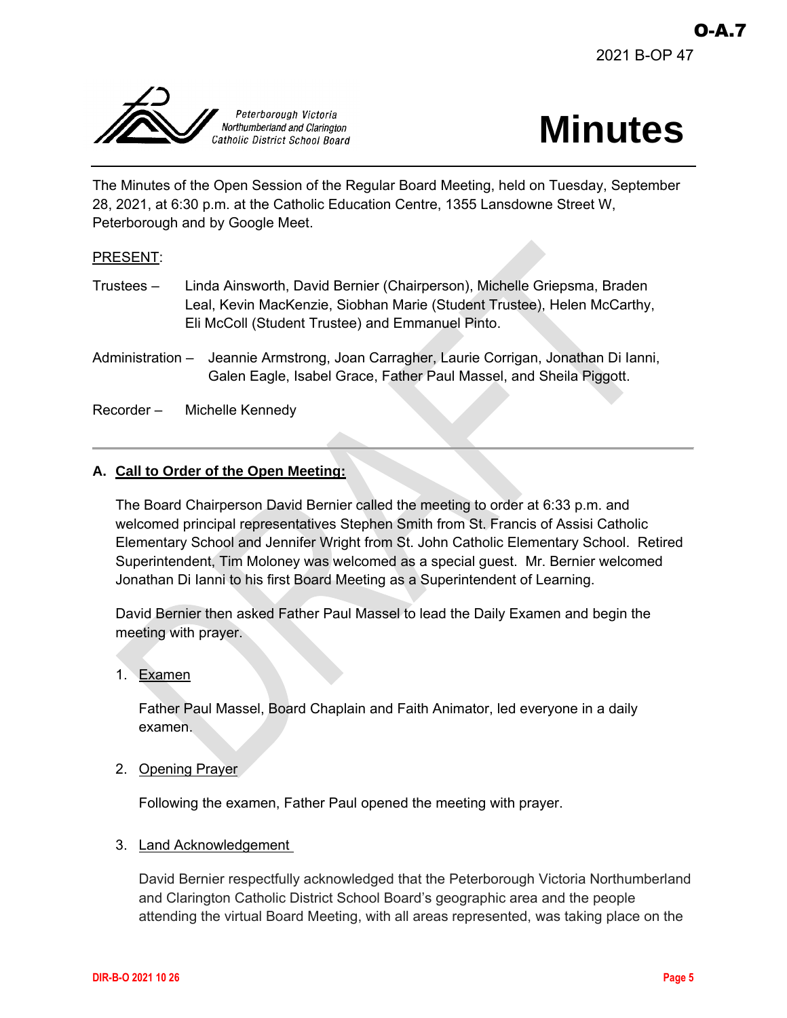<span id="page-4-0"></span>



The Minutes of the Open Session of the Regular Board Meeting, held on Tuesday, September 28, 2021, at 6:30 p.m. at the Catholic Education Centre, 1355 Lansdowne Street W, Peterborough and by Google Meet.

## PRESENT:

- Trustees Linda Ainsworth, David Bernier (Chairperson), Michelle Griepsma, Braden Leal, Kevin MacKenzie, Siobhan Marie (Student Trustee), Helen McCarthy, Eli McColl (Student Trustee) and Emmanuel Pinto.
- Administration Jeannie Armstrong, Joan Carragher, Laurie Corrigan, Jonathan Di Ianni, Galen Eagle, Isabel Grace, Father Paul Massel, and Sheila Piggott.

Recorder – Michelle Kennedy

## **A. Call to Order of the Open Meeting:**

The Board Chairperson David Bernier called the meeting to order at 6:33 p.m. and welcomed principal representatives Stephen Smith from St. Francis of Assisi Catholic Elementary School and Jennifer Wright from St. John Catholic Elementary School. Retired Superintendent, Tim Moloney was welcomed as a special guest. Mr. Bernier welcomed Jonathan Di Ianni to his first Board Meeting as a Superintendent of Learning.

David Bernier then asked Father Paul Massel to lead the Daily Examen and begin the meeting with prayer.

1. Examen

Father Paul Massel, Board Chaplain and Faith Animator, led everyone in a daily examen.

2. Opening Prayer

Following the examen, Father Paul opened the meeting with prayer.

#### 3. Land Acknowledgement

David Bernier respectfully acknowledged that the Peterborough Victoria Northumberland and Clarington Catholic District School Board's geographic area and the people attending the virtual Board Meeting, with all areas represented, was taking place on the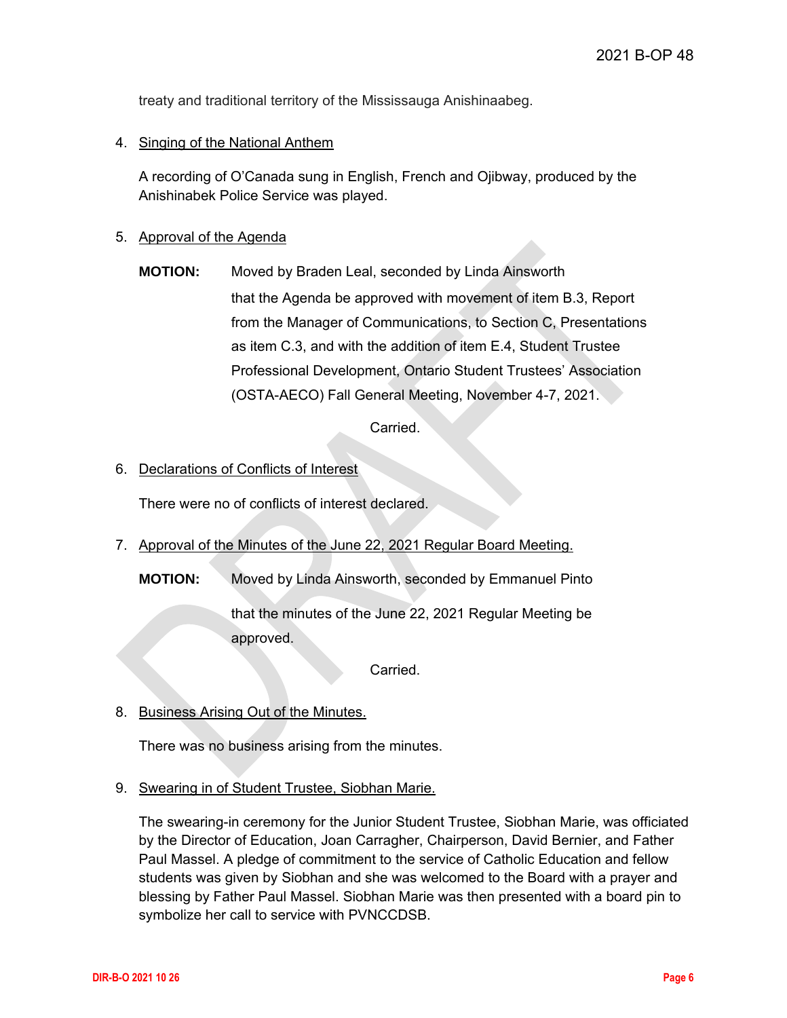treaty and traditional territory of the Mississauga Anishinaabeg.

## 4. Singing of the National Anthem

A recording of O'Canada sung in English, French and Ojibway, produced by the Anishinabek Police Service was played.

## 5. Approval of the Agenda

**MOTION:** Moved by Braden Leal, seconded by Linda Ainsworth that the Agenda be approved with movement of item B.3, Report from the Manager of Communications, to Section C, Presentations as item C.3, and with the addition of item E.4, Student Trustee Professional Development, Ontario Student Trustees' Association (OSTA-AECO) Fall General Meeting, November 4-7, 2021.

Carried.

## 6. Declarations of Conflicts of Interest

There were no of conflicts of interest declared.

7. Approval of the Minutes of the June 22, 2021 Regular Board Meeting.

**MOTION:** Moved by Linda Ainsworth, seconded by Emmanuel Pinto

that the minutes of the June 22, 2021 Regular Meeting be approved.

Carried.

8. Business Arising Out of the Minutes.

There was no business arising from the minutes.

9. Swearing in of Student Trustee, Siobhan Marie.

The swearing-in ceremony for the Junior Student Trustee, Siobhan Marie, was officiated by the Director of Education, Joan Carragher, Chairperson, David Bernier, and Father Paul Massel. A pledge of commitment to the service of Catholic Education and fellow students was given by Siobhan and she was welcomed to the Board with a prayer and blessing by Father Paul Massel. Siobhan Marie was then presented with a board pin to symbolize her call to service with PVNCCDSB.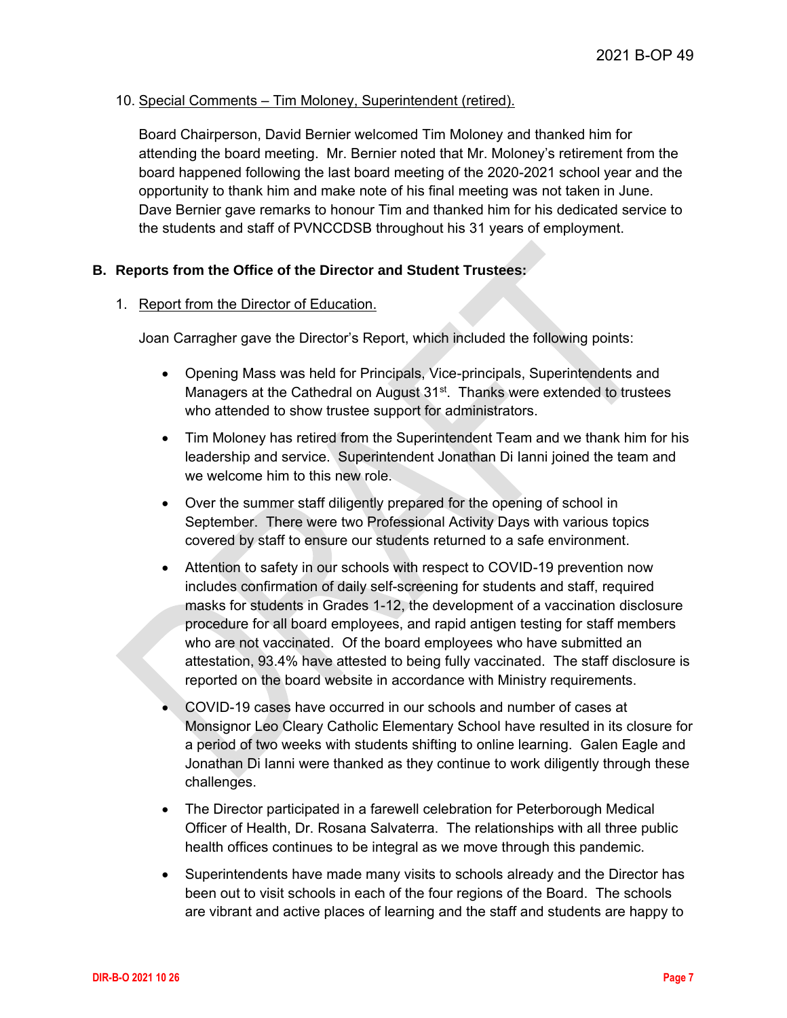## 10. Special Comments – Tim Moloney, Superintendent (retired).

Board Chairperson, David Bernier welcomed Tim Moloney and thanked him for attending the board meeting. Mr. Bernier noted that Mr. Moloney's retirement from the board happened following the last board meeting of the 2020-2021 school year and the opportunity to thank him and make note of his final meeting was not taken in June. Dave Bernier gave remarks to honour Tim and thanked him for his dedicated service to the students and staff of PVNCCDSB throughout his 31 years of employment.

## **B. Reports from the Office of the Director and Student Trustees:**

#### 1. Report from the Director of Education.

Joan Carragher gave the Director's Report, which included the following points:

- Opening Mass was held for Principals, Vice-principals, Superintendents and Managers at the Cathedral on August  $31<sup>st</sup>$ . Thanks were extended to trustees who attended to show trustee support for administrators.
- Tim Moloney has retired from the Superintendent Team and we thank him for his leadership and service. Superintendent Jonathan Di Ianni joined the team and we welcome him to this new role.
- Over the summer staff diligently prepared for the opening of school in September. There were two Professional Activity Days with various topics covered by staff to ensure our students returned to a safe environment.
- Attention to safety in our schools with respect to COVID-19 prevention now includes confirmation of daily self-screening for students and staff, required masks for students in Grades 1-12, the development of a vaccination disclosure procedure for all board employees, and rapid antigen testing for staff members who are not vaccinated. Of the board employees who have submitted an attestation, 93.4% have attested to being fully vaccinated. The staff disclosure is reported on the board website in accordance with Ministry requirements.
- COVID-19 cases have occurred in our schools and number of cases at Monsignor Leo Cleary Catholic Elementary School have resulted in its closure for a period of two weeks with students shifting to online learning. Galen Eagle and Jonathan Di Ianni were thanked as they continue to work diligently through these challenges.
- The Director participated in a farewell celebration for Peterborough Medical Officer of Health, Dr. Rosana Salvaterra. The relationships with all three public health offices continues to be integral as we move through this pandemic.
- Superintendents have made many visits to schools already and the Director has been out to visit schools in each of the four regions of the Board. The schools are vibrant and active places of learning and the staff and students are happy to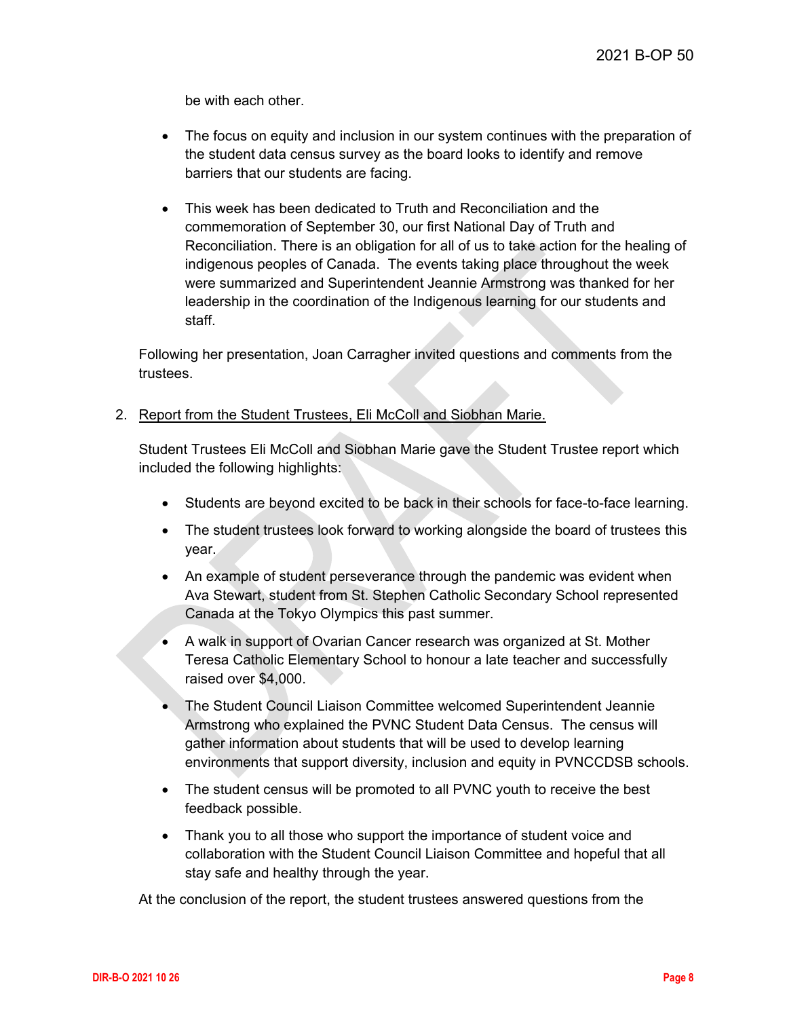be with each other.

- The focus on equity and inclusion in our system continues with the preparation of the student data census survey as the board looks to identify and remove barriers that our students are facing.
- This week has been dedicated to Truth and Reconciliation and the commemoration of September 30, our first National Day of Truth and Reconciliation. There is an obligation for all of us to take action for the healing of indigenous peoples of Canada. The events taking place throughout the week were summarized and Superintendent Jeannie Armstrong was thanked for her leadership in the coordination of the Indigenous learning for our students and staff.

Following her presentation, Joan Carragher invited questions and comments from the trustees.

2. Report from the Student Trustees, Eli McColl and Siobhan Marie.

Student Trustees Eli McColl and Siobhan Marie gave the Student Trustee report which included the following highlights:

- Students are beyond excited to be back in their schools for face-to-face learning.
- The student trustees look forward to working alongside the board of trustees this year.
- An example of student perseverance through the pandemic was evident when Ava Stewart, student from St. Stephen Catholic Secondary School represented Canada at the Tokyo Olympics this past summer.
- A walk in support of Ovarian Cancer research was organized at St. Mother Teresa Catholic Elementary School to honour a late teacher and successfully raised over \$4,000.
- The Student Council Liaison Committee welcomed Superintendent Jeannie Armstrong who explained the PVNC Student Data Census. The census will gather information about students that will be used to develop learning environments that support diversity, inclusion and equity in PVNCCDSB schools.
- The student census will be promoted to all PVNC youth to receive the best feedback possible.
- Thank you to all those who support the importance of student voice and collaboration with the Student Council Liaison Committee and hopeful that all stay safe and healthy through the year.

At the conclusion of the report, the student trustees answered questions from the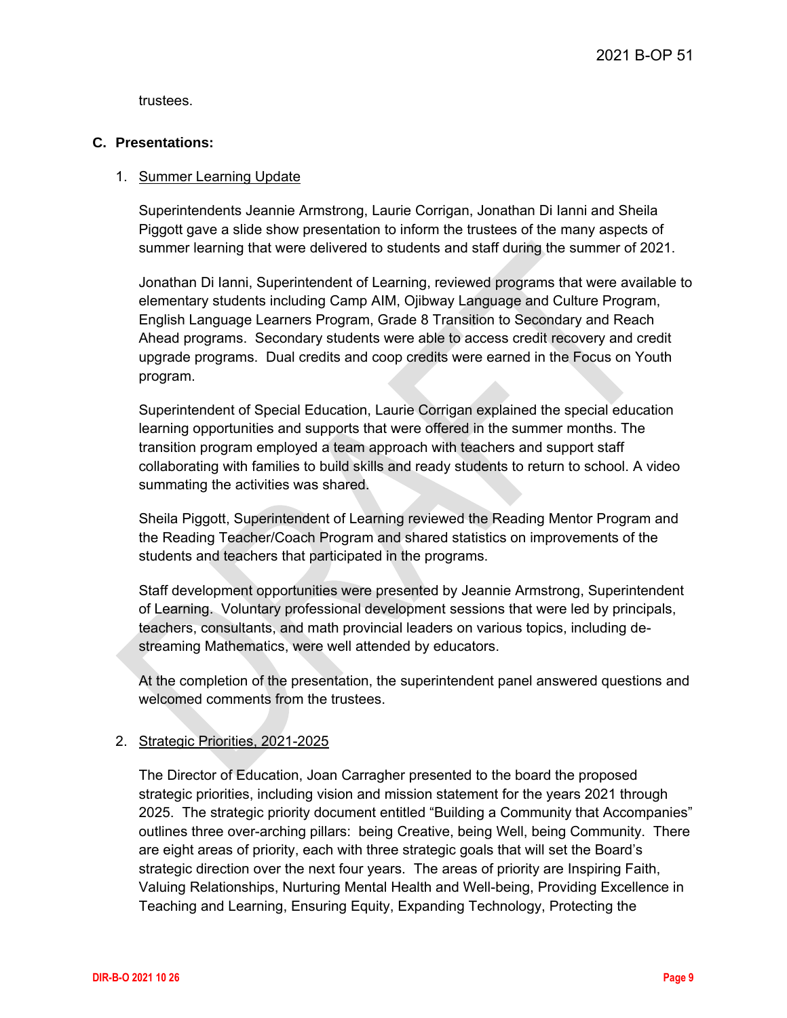trustees.

## **C. Presentations:**

## 1. Summer Learning Update

Superintendents Jeannie Armstrong, Laurie Corrigan, Jonathan Di Ianni and Sheila Piggott gave a slide show presentation to inform the trustees of the many aspects of summer learning that were delivered to students and staff during the summer of 2021.

Jonathan Di Ianni, Superintendent of Learning, reviewed programs that were available to elementary students including Camp AIM, Ojibway Language and Culture Program, English Language Learners Program, Grade 8 Transition to Secondary and Reach Ahead programs. Secondary students were able to access credit recovery and credit upgrade programs. Dual credits and coop credits were earned in the Focus on Youth program.

Superintendent of Special Education, Laurie Corrigan explained the special education learning opportunities and supports that were offered in the summer months. The transition program employed a team approach with teachers and support staff collaborating with families to build skills and ready students to return to school. A video summating the activities was shared.

Sheila Piggott, Superintendent of Learning reviewed the Reading Mentor Program and the Reading Teacher/Coach Program and shared statistics on improvements of the students and teachers that participated in the programs.

Staff development opportunities were presented by Jeannie Armstrong, Superintendent of Learning. Voluntary professional development sessions that were led by principals, teachers, consultants, and math provincial leaders on various topics, including destreaming Mathematics, were well attended by educators.

At the completion of the presentation, the superintendent panel answered questions and welcomed comments from the trustees.

## 2. Strategic Priorities, 2021-2025

The Director of Education, Joan Carragher presented to the board the proposed strategic priorities, including vision and mission statement for the years 2021 through 2025. The strategic priority document entitled "Building a Community that Accompanies" outlines three over-arching pillars: being Creative, being Well, being Community. There are eight areas of priority, each with three strategic goals that will set the Board's strategic direction over the next four years. The areas of priority are Inspiring Faith, Valuing Relationships, Nurturing Mental Health and Well-being, Providing Excellence in Teaching and Learning, Ensuring Equity, Expanding Technology, Protecting the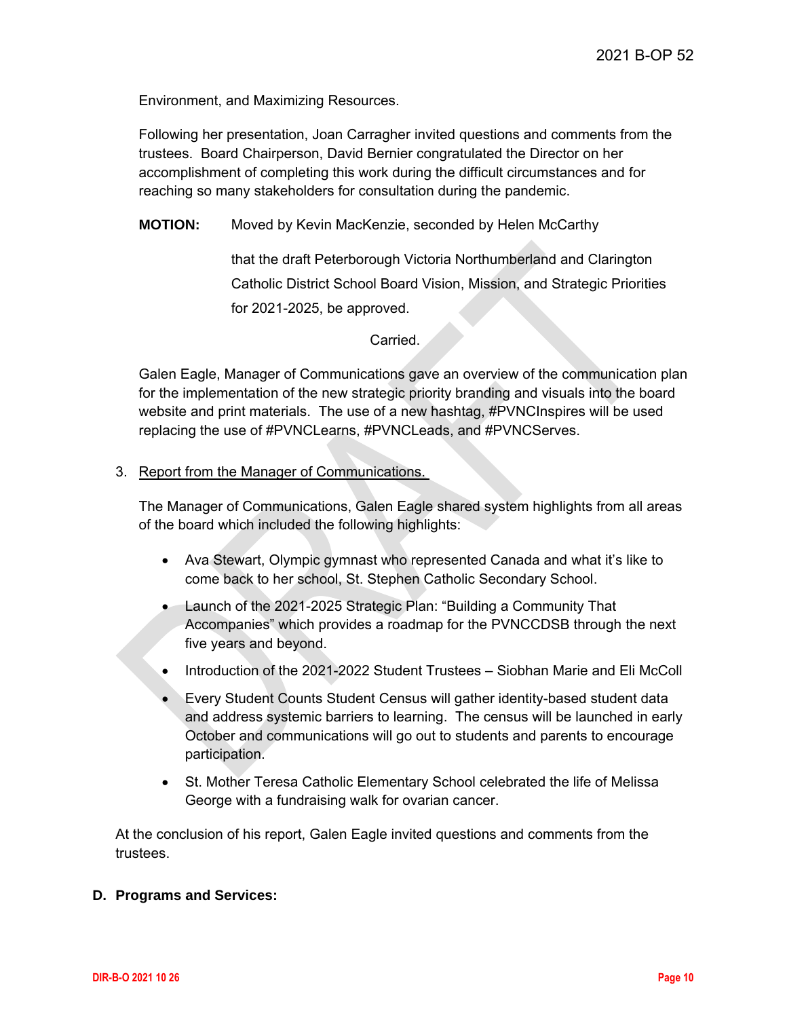Environment, and Maximizing Resources.

Following her presentation, Joan Carragher invited questions and comments from the trustees. Board Chairperson, David Bernier congratulated the Director on her accomplishment of completing this work during the difficult circumstances and for reaching so many stakeholders for consultation during the pandemic.

**MOTION:** Moved by Kevin MacKenzie, seconded by Helen McCarthy

that the draft Peterborough Victoria Northumberland and Clarington Catholic District School Board Vision, Mission, and Strategic Priorities for 2021-2025, be approved.

#### Carried.

Galen Eagle, Manager of Communications gave an overview of the communication plan for the implementation of the new strategic priority branding and visuals into the board website and print materials. The use of a new hashtag, #PVNCInspires will be used replacing the use of #PVNCLearns, #PVNCLeads, and #PVNCServes.

#### 3. Report from the Manager of Communications.

The Manager of Communications, Galen Eagle shared system highlights from all areas of the board which included the following highlights:

- Ava Stewart, Olympic gymnast who represented Canada and what it's like to come back to her school, St. Stephen Catholic Secondary School.
- Launch of the 2021-2025 Strategic Plan: "Building a Community That Accompanies" which provides a roadmap for the PVNCCDSB through the next five years and beyond.
- Introduction of the 2021-2022 Student Trustees Siobhan Marie and Eli McColl
- Every Student Counts Student Census will gather identity-based student data and address systemic barriers to learning. The census will be launched in early October and communications will go out to students and parents to encourage participation.
- St. Mother Teresa Catholic Elementary School celebrated the life of Melissa George with a fundraising walk for ovarian cancer.

At the conclusion of his report, Galen Eagle invited questions and comments from the trustees.

#### **D. Programs and Services:**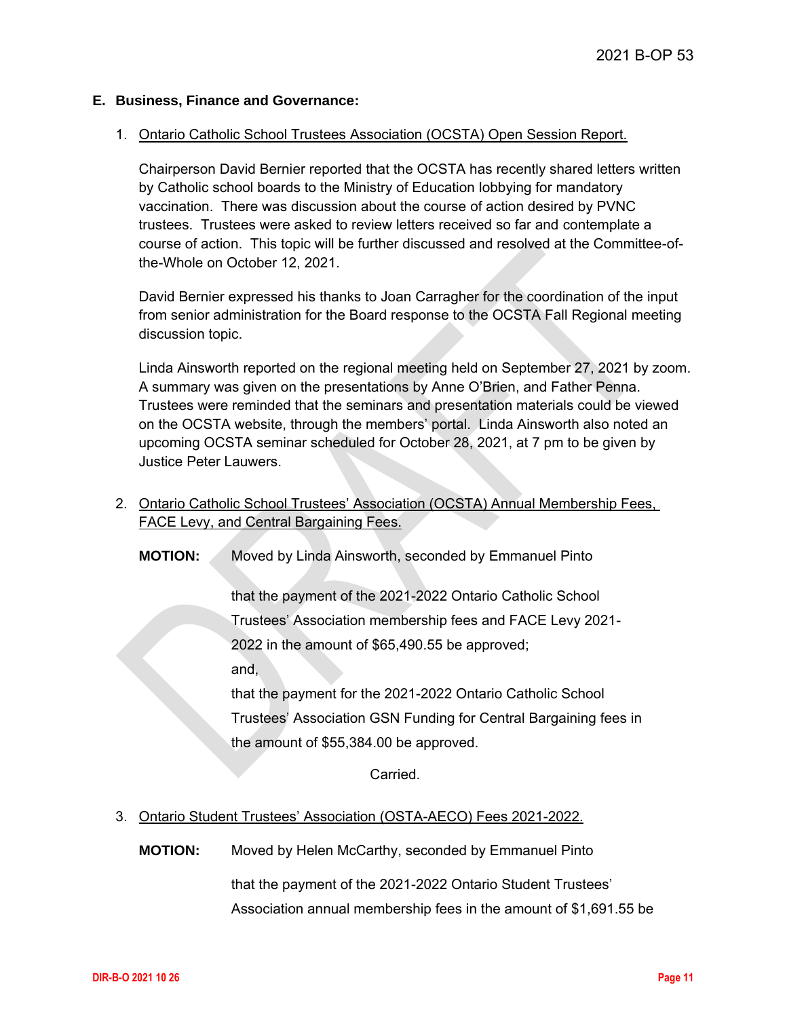## **E. Business, Finance and Governance:**

#### 1. Ontario Catholic School Trustees Association (OCSTA) Open Session Report.

Chairperson David Bernier reported that the OCSTA has recently shared letters written by Catholic school boards to the Ministry of Education lobbying for mandatory vaccination. There was discussion about the course of action desired by PVNC trustees. Trustees were asked to review letters received so far and contemplate a course of action. This topic will be further discussed and resolved at the Committee-ofthe-Whole on October 12, 2021.

David Bernier expressed his thanks to Joan Carragher for the coordination of the input from senior administration for the Board response to the OCSTA Fall Regional meeting discussion topic.

Linda Ainsworth reported on the regional meeting held on September 27, 2021 by zoom. A summary was given on the presentations by Anne O'Brien, and Father Penna. Trustees were reminded that the seminars and presentation materials could be viewed on the OCSTA website, through the members' portal. Linda Ainsworth also noted an upcoming OCSTA seminar scheduled for October 28, 2021, at 7 pm to be given by Justice Peter Lauwers.

2. Ontario Catholic School Trustees' Association (OCSTA) Annual Membership Fees, FACE Levy, and Central Bargaining Fees.

**MOTION:** Moved by Linda Ainsworth, seconded by Emmanuel Pinto

that the payment of the 2021-2022 Ontario Catholic School Trustees' Association membership fees and FACE Levy 2021- 2022 in the amount of \$65,490.55 be approved; and,

that the payment for the 2021-2022 Ontario Catholic School Trustees' Association GSN Funding for Central Bargaining fees in the amount of \$55,384.00 be approved.

Carried.

## 3. Ontario Student Trustees' Association (OSTA-AECO) Fees 2021-2022.

**MOTION:** Moved by Helen McCarthy, seconded by Emmanuel Pinto

that the payment of the 2021-2022 Ontario Student Trustees' Association annual membership fees in the amount of \$1,691.55 be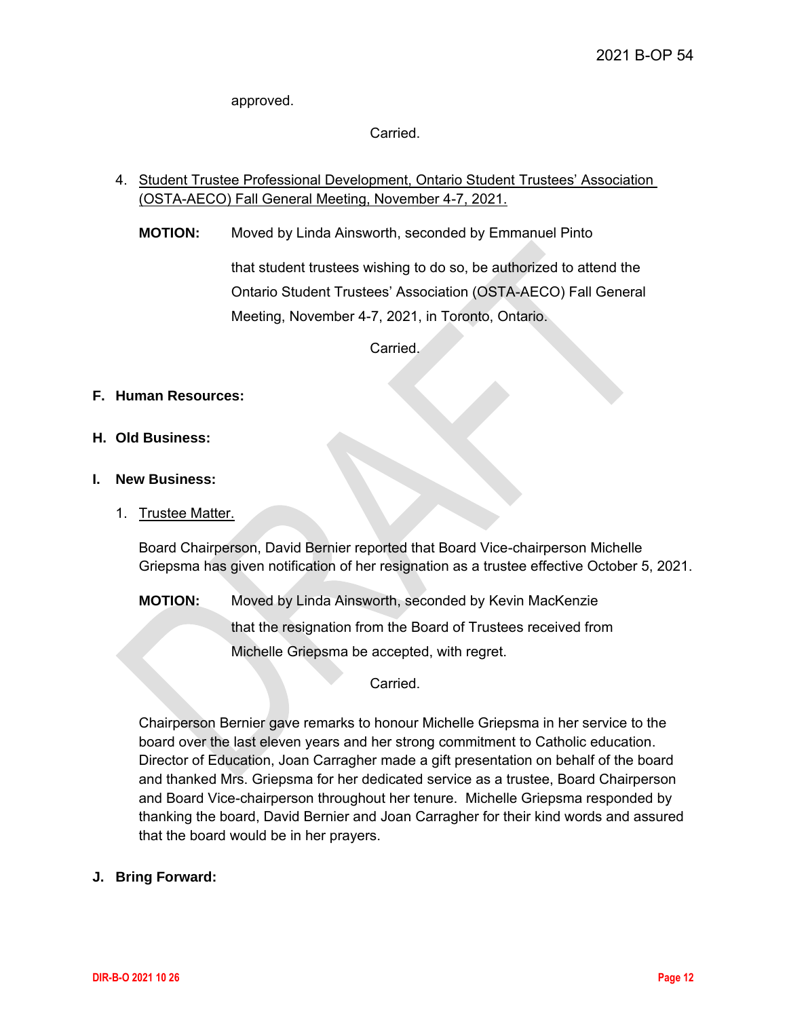approved.

Carried.

- 4. Student Trustee Professional Development, Ontario Student Trustees' Association (OSTA-AECO) Fall General Meeting, November 4-7, 2021.
	- **MOTION:** Moved by Linda Ainsworth, seconded by Emmanuel Pinto

that student trustees wishing to do so, be authorized to attend the Ontario Student Trustees' Association (OSTA-AECO) Fall General Meeting, November 4-7, 2021, in Toronto, Ontario.

Carried.

## **F. Human Resources:**

**H. Old Business:** 

## **I. New Business:**

1. Trustee Matter.

Board Chairperson, David Bernier reported that Board Vice-chairperson Michelle Griepsma has given notification of her resignation as a trustee effective October 5, 2021.

**MOTION:** Moved by Linda Ainsworth, seconded by Kevin MacKenzie that the resignation from the Board of Trustees received from Michelle Griepsma be accepted, with regret.

**Carried** 

Chairperson Bernier gave remarks to honour Michelle Griepsma in her service to the board over the last eleven years and her strong commitment to Catholic education. Director of Education, Joan Carragher made a gift presentation on behalf of the board and thanked Mrs. Griepsma for her dedicated service as a trustee, Board Chairperson and Board Vice-chairperson throughout her tenure. Michelle Griepsma responded by thanking the board, David Bernier and Joan Carragher for their kind words and assured that the board would be in her prayers.

## **J. Bring Forward:**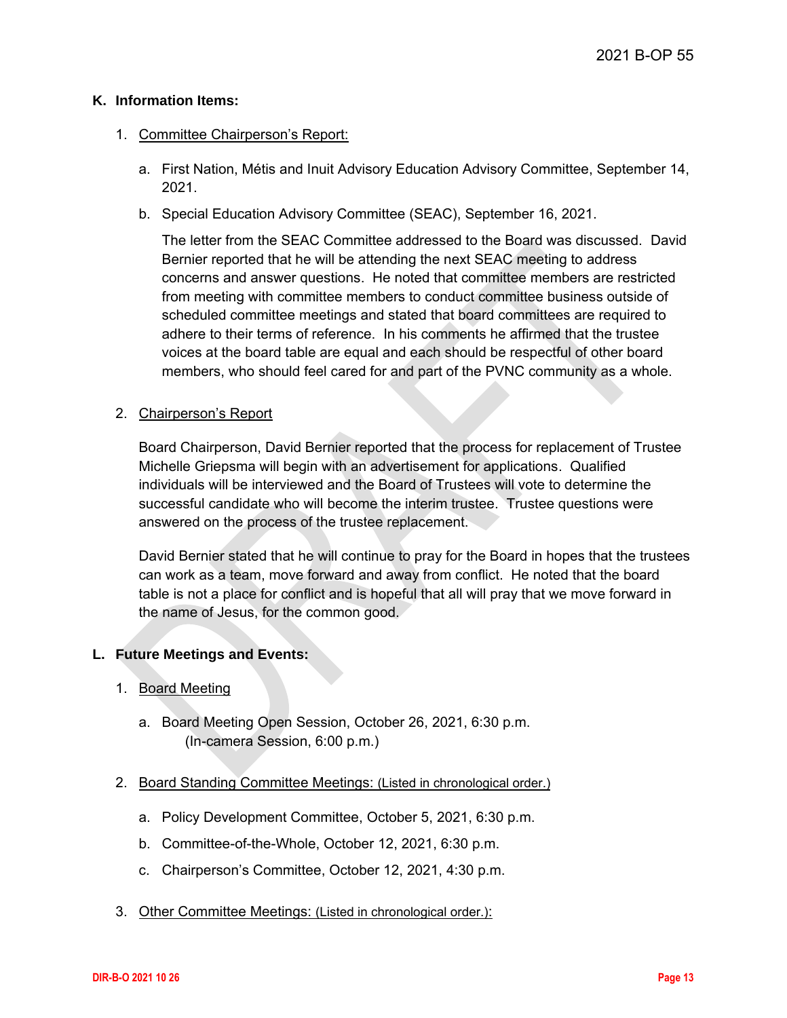## **K. Information Items:**

### 1. Committee Chairperson's Report:

- a. First Nation, Métis and Inuit Advisory Education Advisory Committee, September 14, 2021.
- b. Special Education Advisory Committee (SEAC), September 16, 2021.

The letter from the SEAC Committee addressed to the Board was discussed. David Bernier reported that he will be attending the next SEAC meeting to address concerns and answer questions. He noted that committee members are restricted from meeting with committee members to conduct committee business outside of scheduled committee meetings and stated that board committees are required to adhere to their terms of reference. In his comments he affirmed that the trustee voices at the board table are equal and each should be respectful of other board members, who should feel cared for and part of the PVNC community as a whole.

## 2. Chairperson's Report

Board Chairperson, David Bernier reported that the process for replacement of Trustee Michelle Griepsma will begin with an advertisement for applications. Qualified individuals will be interviewed and the Board of Trustees will vote to determine the successful candidate who will become the interim trustee. Trustee questions were answered on the process of the trustee replacement.

David Bernier stated that he will continue to pray for the Board in hopes that the trustees can work as a team, move forward and away from conflict. He noted that the board table is not a place for conflict and is hopeful that all will pray that we move forward in the name of Jesus, for the common good.

## **L. Future Meetings and Events:**

## 1. Board Meeting

- a. Board Meeting Open Session, October 26, 2021, 6:30 p.m. (In-camera Session, 6:00 p.m.)
- 2. Board Standing Committee Meetings: (Listed in chronological order.)
	- a. Policy Development Committee, October 5, 2021, 6:30 p.m.
	- b. Committee-of-the-Whole, October 12, 2021, 6:30 p.m.
	- c. Chairperson's Committee, October 12, 2021, 4:30 p.m.
- 3. Other Committee Meetings: (Listed in chronological order.):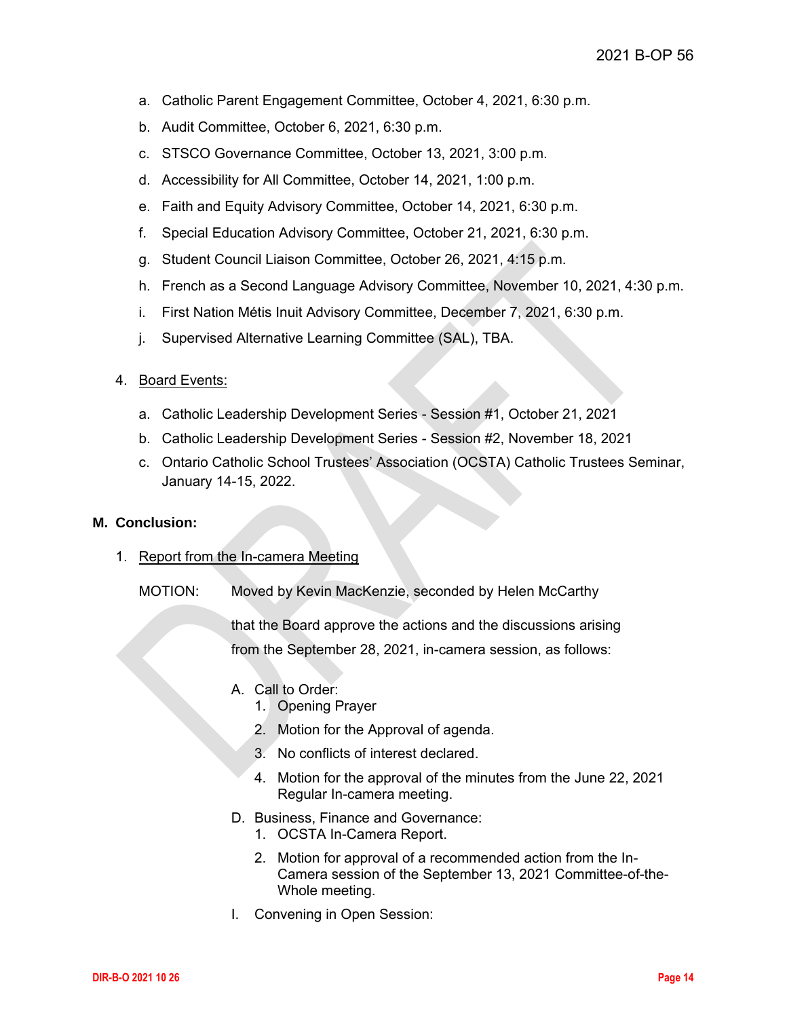- a. Catholic Parent Engagement Committee, October 4, 2021, 6:30 p.m.
- b. Audit Committee, October 6, 2021, 6:30 p.m.
- c. STSCO Governance Committee, October 13, 2021, 3:00 p.m.
- d. Accessibility for All Committee, October 14, 2021, 1:00 p.m.
- e. Faith and Equity Advisory Committee, October 14, 2021, 6:30 p.m.
- f. Special Education Advisory Committee, October 21, 2021, 6:30 p.m.
- g. Student Council Liaison Committee, October 26, 2021, 4:15 p.m.
- h. French as a Second Language Advisory Committee, November 10, 2021, 4:30 p.m.
- i. First Nation Métis Inuit Advisory Committee, December 7, 2021, 6:30 p.m.
- j. Supervised Alternative Learning Committee (SAL), TBA.
- 4. Board Events:
	- a. Catholic Leadership Development Series Session #1, October 21, 2021
	- b. Catholic Leadership Development Series Session #2, November 18, 2021
	- c. Ontario Catholic School Trustees' Association (OCSTA) Catholic Trustees Seminar, January 14-15, 2022.

#### **M. Conclusion:**

- 1. Report from the In-camera Meeting
	- MOTION: Moved by Kevin MacKenzie, seconded by Helen McCarthy

that the Board approve the actions and the discussions arising from the September 28, 2021, in-camera session, as follows:

- A. Call to Order:
	- 1. Opening Prayer
	- 2. Motion for the Approval of agenda.
	- 3. No conflicts of interest declared.
	- 4. Motion for the approval of the minutes from the June 22, 2021 Regular In-camera meeting.
- D. Business, Finance and Governance:
	- 1. OCSTA In-Camera Report.
	- 2. Motion for approval of a recommended action from the In-Camera session of the September 13, 2021 Committee-of-the-Whole meeting.
- I. Convening in Open Session: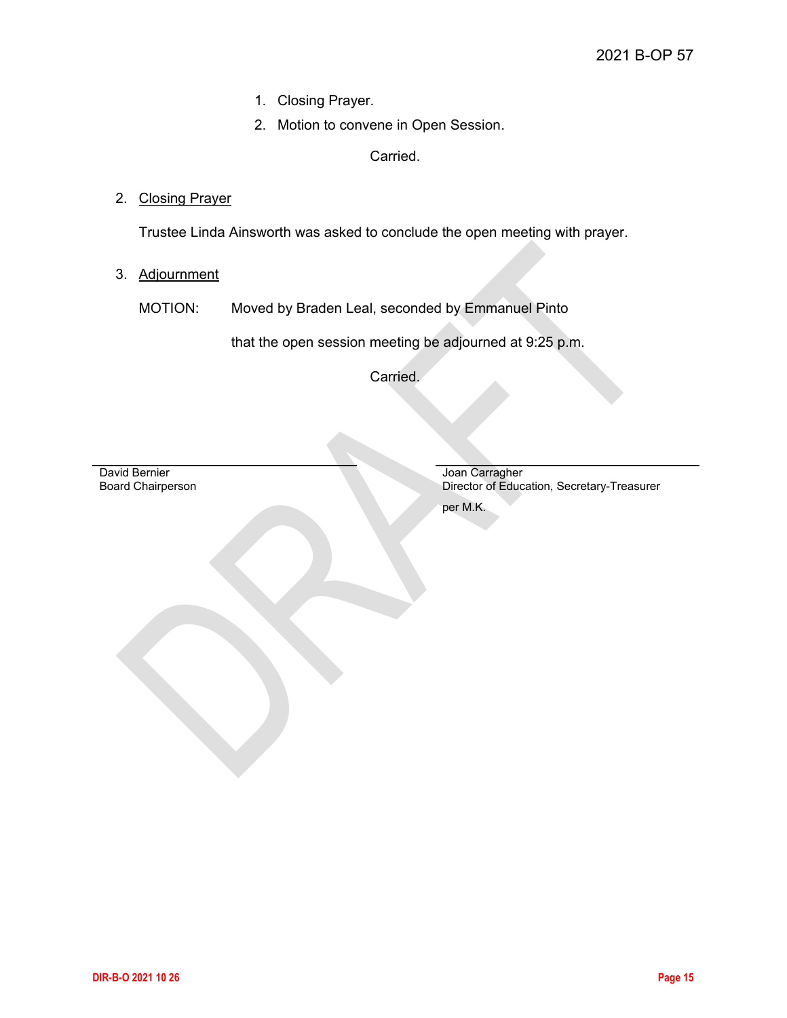- 1. Closing Prayer.
- 2. Motion to convene in Open Session.

Carried.

2. Closing Prayer

Trustee Linda Ainsworth was asked to conclude the open meeting with prayer.

3. Adjournment

MOTION: Moved by Braden Leal, seconded by Emmanuel Pinto

that the open session meeting be adjourned at 9:25 p.m.

Carried.

David Bernier Board Chairperson

Joan Carragher Director of Education, Secretary-Treasurer per M.K.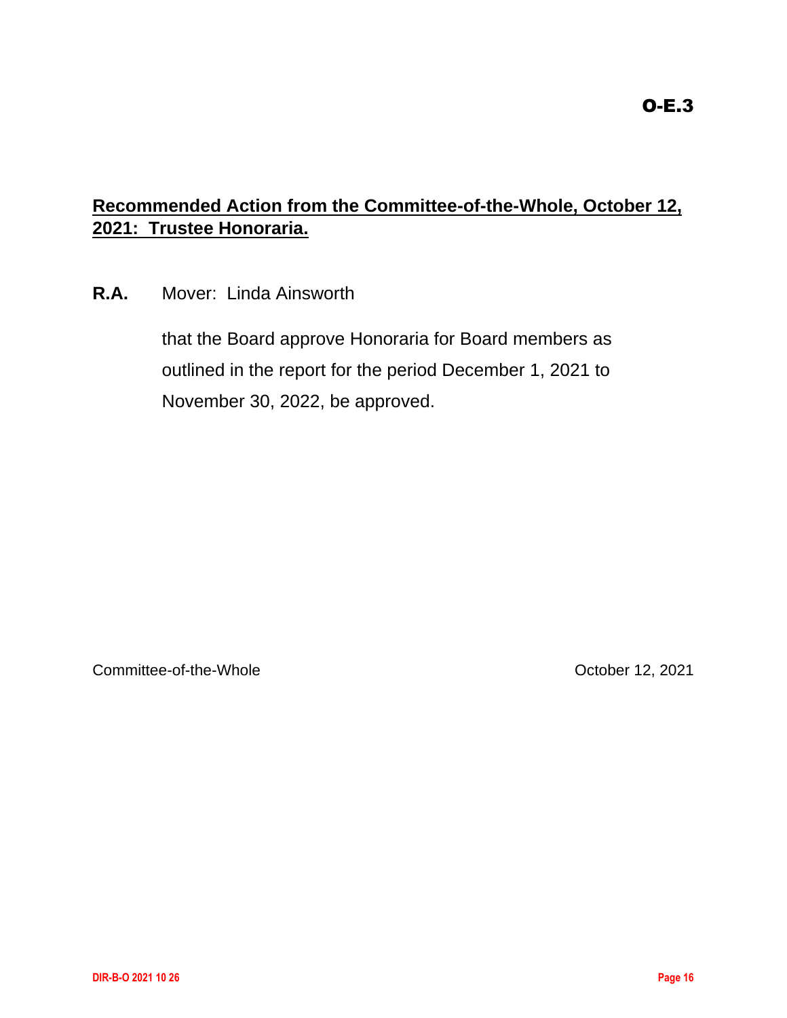# <span id="page-15-0"></span>**Recommended Action from the Committee-of-the-Whole, October 12, 2021: Trustee Honoraria.**

**R.A.** Mover: Linda Ainsworth

that the Board approve Honoraria for Board members as outlined in the report for the period December 1, 2021 to November 30, 2022, be approved.

Committee-of-the-Whole Committee-of-the-Whole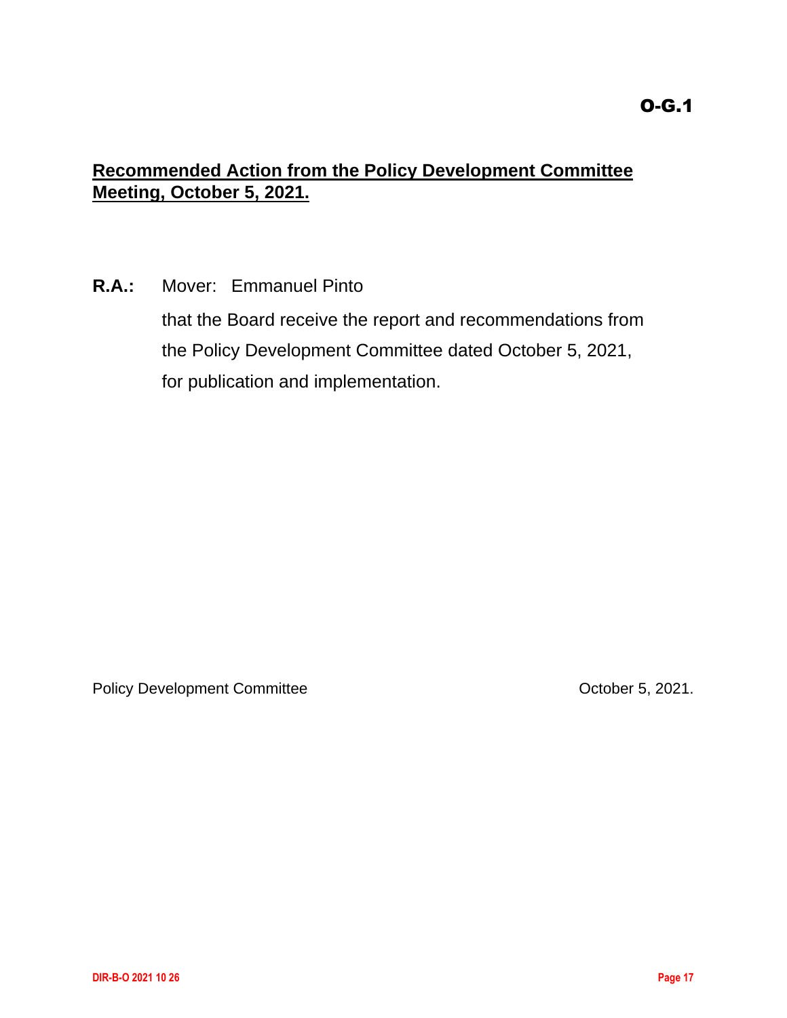## <span id="page-16-0"></span>**Recommended Action from the Policy Development Committee Meeting, October 5, 2021.**

**R.A.:** Mover: Emmanuel Pinto

that the Board receive the report and recommendations from the Policy Development Committee dated October 5, 2021, for publication and implementation.

Policy Development Committee Committee Committee Committee Committee Committee Committee Committee Committee Committee Committee Committee Committee Committee Committee Committee Committee Committee Committee Committee Com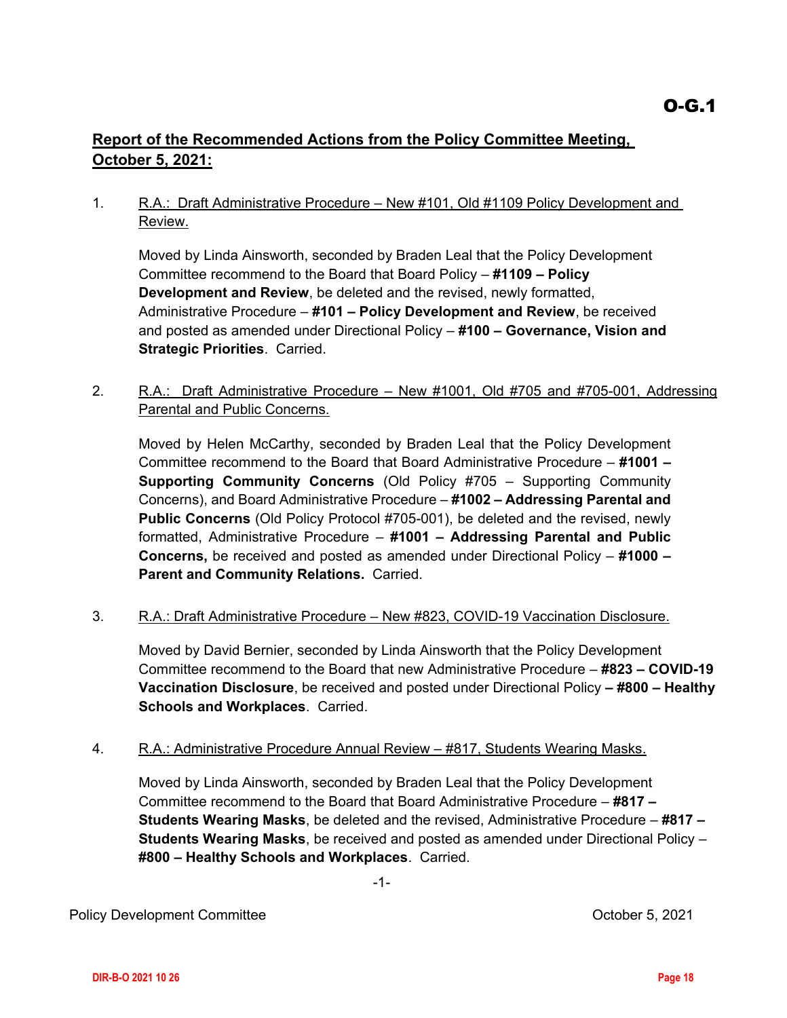## <span id="page-17-0"></span>**Report of the Recommended Actions from the Policy Committee Meeting, October 5, 2021:**

1. R.A.: Draft Administrative Procedure – New #101, Old #1109 Policy Development and Review.

Moved by Linda Ainsworth, seconded by Braden Leal that the Policy Development Committee recommend to the Board that Board Policy – **#1109 – Policy Development and Review**, be deleted and the revised, newly formatted, Administrative Procedure – **#101 – Policy Development and Review**, be received and posted as amended under Directional Policy – **#100 – Governance, Vision and Strategic Priorities**. Carried.

2. R.A.: Draft Administrative Procedure – New #1001, Old #705 and #705-001, Addressing Parental and Public Concerns.

Moved by Helen McCarthy, seconded by Braden Leal that the Policy Development Committee recommend to the Board that Board Administrative Procedure – **#1001 – Supporting Community Concerns** (Old Policy #705 – Supporting Community Concerns), and Board Administrative Procedure – **#1002 – Addressing Parental and Public Concerns** (Old Policy Protocol #705-001), be deleted and the revised, newly formatted, Administrative Procedure – **#1001 – Addressing Parental and Public Concerns,** be received and posted as amended under Directional Policy – **#1000 – Parent and Community Relations.** Carried.

3. R.A.: Draft Administrative Procedure - New #823, COVID-19 Vaccination Disclosure.

Moved by David Bernier, seconded by Linda Ainsworth that the Policy Development Committee recommend to the Board that new Administrative Procedure – **#823 – COVID-19 Vaccination Disclosure**, be received and posted under Directional Policy **– #800 – Healthy Schools and Workplaces**. Carried.

## 4. R.A.: Administrative Procedure Annual Review – #817, Students Wearing Masks.

Moved by Linda Ainsworth, seconded by Braden Leal that the Policy Development Committee recommend to the Board that Board Administrative Procedure – **#817 – Students Wearing Masks**, be deleted and the revised, Administrative Procedure – **#817 – Students Wearing Masks**, be received and posted as amended under Directional Policy – **#800 – Healthy Schools and Workplaces**. Carried.

-1-